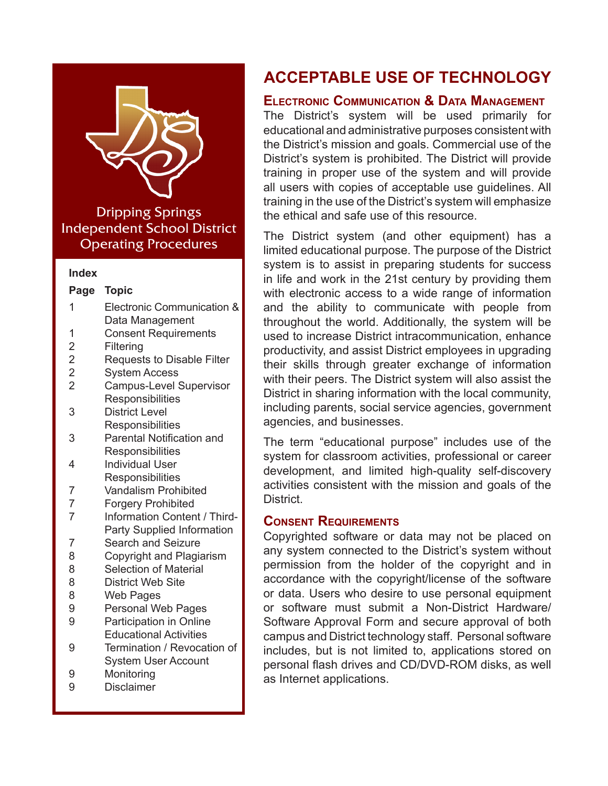

Dripping Springs Independent School District Operating Procedures

#### **Index**

- 1 Electronic Communication & Data Management
- 1 Consent Requirements
- 2 [Filtering](#page-1-0)
- 2 [Requests to Disable Filte](#page-1-0)r
- 2 [System Access](#page-1-0)<br>2 Campus-Level 3
- Campus-Level Supervisor **Responsibilities**
- 3 District Level **[Responsibilitie](#page-2-0)s**
- 3 [Parental Notification and](#page-2-0) **Responsibilities**
- 4 [Individual User](#page-3-0)  **Responsibilities**
- 7 [Vandalism Prohibite](#page-6-0)d
- 7 [Forgery Prohibited](#page-6-0)
- 7 [Information Content / Third-](#page-6-0)Party Supplied Information
- 7 [Search and Seizure](#page-7-0)
- 8 [Copyright and Plagiarism](#page-7-0)
- 8 [Selection of Materia](#page-7-0)l
- 8 [District Web Site](#page-7-0)<br>8 Web Pages
- [Web Pages](#page-8-0)
- 9 [Personal Web Pages](#page-8-0)
- 9 [Participation in Online](#page-8-0) Educational Activities
- 9 [Termination / Revocation of](#page-8-0)  System User Account
- 9 [Monitorin](#page-8-0)g
- 9 [Disclaimer](#page-8-0)

# **ACCEPTABLE USE OF TECHNOLOGY**

## **Electronic Communication & Data Management**

The District's system will be used primarily for educational and administrative purposes consistent with the District's mission and goals. Commercial use of the District's system is prohibited. The District will provide training in proper use of the system and will provide all users with copies of acceptable use guidelines. All training in the use of the District's system will emphasize the ethical and safe use of this resource.

The District system (and other equipment) has a limited educational purpose. The purpose of the District system is to assist in preparing students for success in life and work in the 21st century by providing them with electronic access to a wide range of information and the ability to communicate with people from throughout the world. Additionally, the system will be used to increase District intracommunication, enhance productivity, and assist District employees in upgrading their skills through greater exchange of information with their peers. The District system will also assist the District in sharing information with the local community, including parents, social service agencies, government agencies, and businesses.

The term "educational purpose" includes use of the system for classroom activities, professional or career development, and limited high-quality self-discovery activities consistent with the mission and goals of the **District** 

# **Consent Requirements**

Copyrighted software or data may not be placed on any system connected to the District's system without permission from the holder of the copyright and in accordance with the copyright/license of the software or data. Users who desire to use personal equipment or software must submit a Non-District Hardware/ Software Approval Form and secure approval of both campus and District technology staff. Personal software includes, but is not limited to, applications stored on personal flash drives and CD/DVD-ROM disks, as well as Internet applications.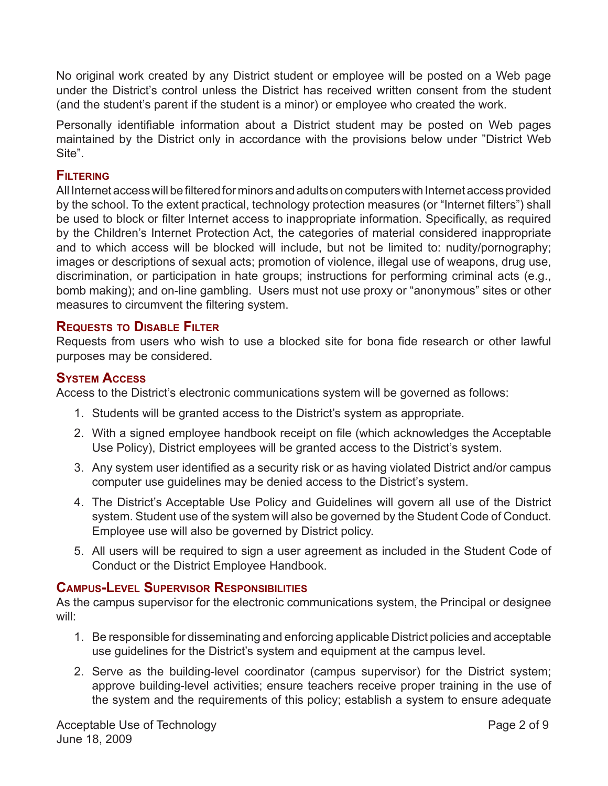<span id="page-1-0"></span>No original work created by any District student or employee will be posted on a Web page under the District's control unless the District has received written consent from the student (and the student's parent if the student is a minor) or employee who created the work.

Personally identifiable information about a District student may be posted on Web pages maintained by the District only in accordance with the provisions below under "District Web Site".

#### **Filtering**

All Internet access will be filtered for minors and adults on computers with Internet access provided by the school. To the extent practical, technology protection measures (or "Internet filters") shall be used to block or filter Internet access to inappropriate information. Specifically, as required by the Children's Internet Protection Act, the categories of material considered inappropriate and to which access will be blocked will include, but not be limited to: nudity/pornography; images or descriptions of sexual acts; promotion of violence, illegal use of weapons, drug use, discrimination, or participation in hate groups; instructions for performing criminal acts (e.g., bomb making); and on-line gambling. Users must not use proxy or "anonymous" sites or other measures to circumvent the filtering system.

# **Requests to Disable Filter**

Requests from users who wish to use a blocked site for bona fide research or other lawful purposes may be considered.

#### **System Access**

Access to the District's electronic communications system will be governed as follows:

- 1. Students will be granted access to the District's system as appropriate.
- 2. With a signed employee handbook receipt on file (which acknowledges the Acceptable Use Policy), District employees will be granted access to the District's system.
- 3. Any system user identified as a security risk or as having violated District and/or campus computer use guidelines may be denied access to the District's system.
- 4. The District's Acceptable Use Policy and Guidelines will govern all use of the District system. Student use of the system will also be governed by the Student Code of Conduct. Employee use will also be governed by District policy.
- 5. All users will be required to sign a user agreement as included in the Student Code of Conduct or the District Employee Handbook.

# **Campus-Level Supervisor Responsibilities**

As the campus supervisor for the electronic communications system, the Principal or designee will:

- 1. Be responsible for disseminating and enforcing applicable District policies and acceptable use guidelines for the District's system and equipment at the campus level.
- 2. Serve as the building-level coordinator (campus supervisor) for the District system; approve building-level activities; ensure teachers receive proper training in the use of the system and the requirements of this policy; establish a system to ensure adequate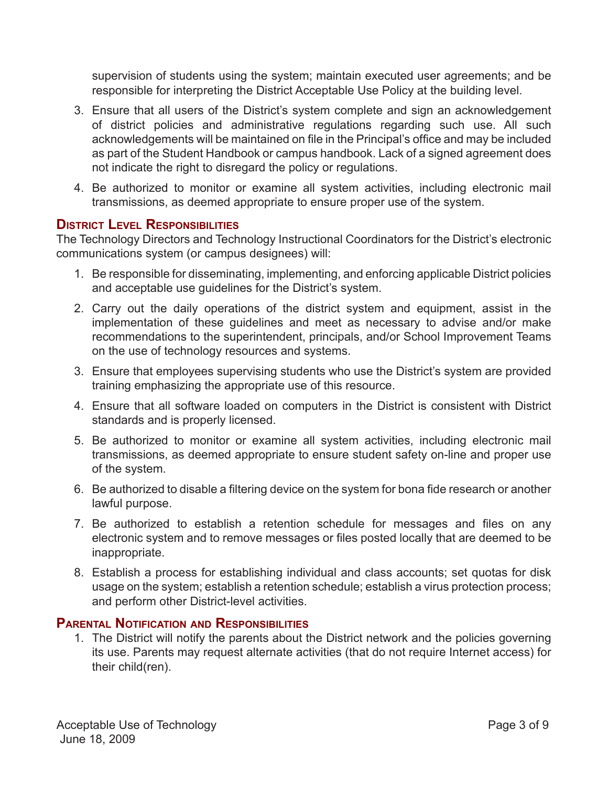<span id="page-2-0"></span>supervision of students using the system; maintain executed user agreements; and be responsible for interpreting the District Acceptable Use Policy at the building level.

- 3. Ensure that all users of the District's system complete and sign an acknowledgement of district policies and administrative regulations regarding such use. All such acknowledgements will be maintained on file in the Principal's office and may be included as part of the Student Handbook or campus handbook. Lack of a signed agreement does not indicate the right to disregard the policy or regulations.
- 4. Be authorized to monitor or examine all system activities, including electronic mail transmissions, as deemed appropriate to ensure proper use of the system.

# **District Level Responsibilities**

The Technology Directors and Technology Instructional Coordinators for the District's electronic communications system (or campus designees) will:

- 1. Be responsible for disseminating, implementing, and enforcing applicable District policies and acceptable use guidelines for the District's system.
- 2. Carry out the daily operations of the district system and equipment, assist in the implementation of these guidelines and meet as necessary to advise and/or make recommendations to the superintendent, principals, and/or School Improvement Teams on the use of technology resources and systems.
- 3. Ensure that employees supervising students who use the District's system are provided training emphasizing the appropriate use of this resource.
- 4. Ensure that all software loaded on computers in the District is consistent with District standards and is properly licensed.
- 5. Be authorized to monitor or examine all system activities, including electronic mail transmissions, as deemed appropriate to ensure student safety on-line and proper use of the system.
- 6. Be authorized to disable a filtering device on the system for bona fide research or another lawful purpose.
- 7. Be authorized to establish a retention schedule for messages and files on any electronic system and to remove messages or files posted locally that are deemed to be inappropriate.
- 8. Establish a process for establishing individual and class accounts; set quotas for disk usage on the system; establish a retention schedule; establish a virus protection process; and perform other District-level activities.

#### **Parental Notification and Responsibilities**

1. The District will notify the parents about the District network and the policies governing its use. Parents may request alternate activities (that do not require Internet access) for their child(ren).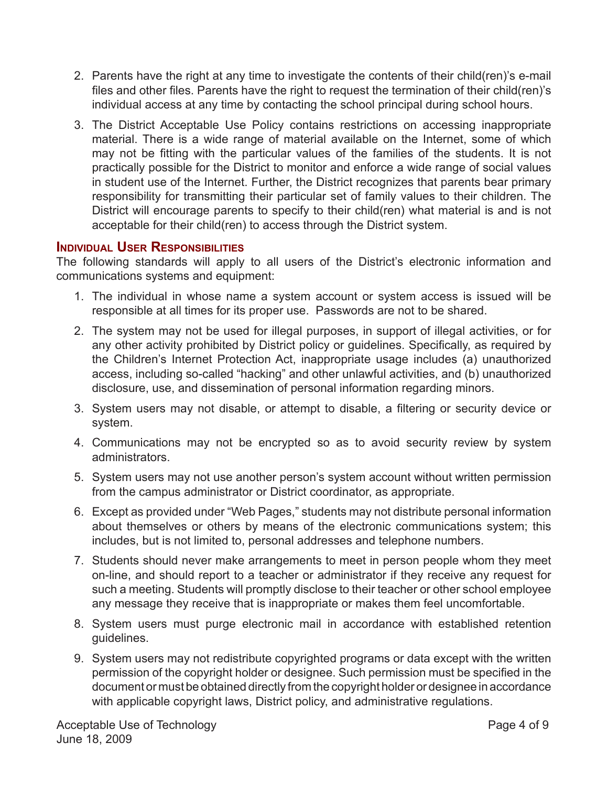- <span id="page-3-0"></span>2. Parents have the right at any time to investigate the contents of their child(ren)'s e-mail files and other files. Parents have the right to request the termination of their child(ren)'s individual access at any time by contacting the school principal during school hours.
- 3. The District Acceptable Use Policy contains restrictions on accessing inappropriate material. There is a wide range of material available on the Internet, some of which may not be fitting with the particular values of the families of the students. It is not practically possible for the District to monitor and enforce a wide range of social values in student use of the Internet. Further, the District recognizes that parents bear primary responsibility for transmitting their particular set of family values to their children. The District will encourage parents to specify to their child(ren) what material is and is not acceptable for their child(ren) to access through the District system.

#### **Individual User Responsibilities**

The following standards will apply to all users of the District's electronic information and communications systems and equipment:

- 1. The individual in whose name a system account or system access is issued will be responsible at all times for its proper use. Passwords are not to be shared.
- 2. The system may not be used for illegal purposes, in support of illegal activities, or for any other activity prohibited by District policy or guidelines. Specifically, as required by the Children's Internet Protection Act, inappropriate usage includes (a) unauthorized access, including so-called "hacking" and other unlawful activities, and (b) unauthorized disclosure, use, and dissemination of personal information regarding minors.
- 3. System users may not disable, or attempt to disable, a filtering or security device or system.
- 4. Communications may not be encrypted so as to avoid security review by system administrators.
- 5. System users may not use another person's system account without written permission from the campus administrator or District coordinator, as appropriate.
- 6. Except as provided under "Web Pages," students may not distribute personal information about themselves or others by means of the electronic communications system; this includes, but is not limited to, personal addresses and telephone numbers.
- 7. Students should never make arrangements to meet in person people whom they meet on-line, and should report to a teacher or administrator if they receive any request for such a meeting. Students will promptly disclose to their teacher or other school employee any message they receive that is inappropriate or makes them feel uncomfortable.
- 8. System users must purge electronic mail in accordance with established retention guidelines.
- 9. System users may not redistribute copyrighted programs or data except with the written permission of the copyright holder or designee. Such permission must be specified in the document or must be obtained directly from the copyright holder or designee in accordance with applicable copyright laws, District policy, and administrative regulations.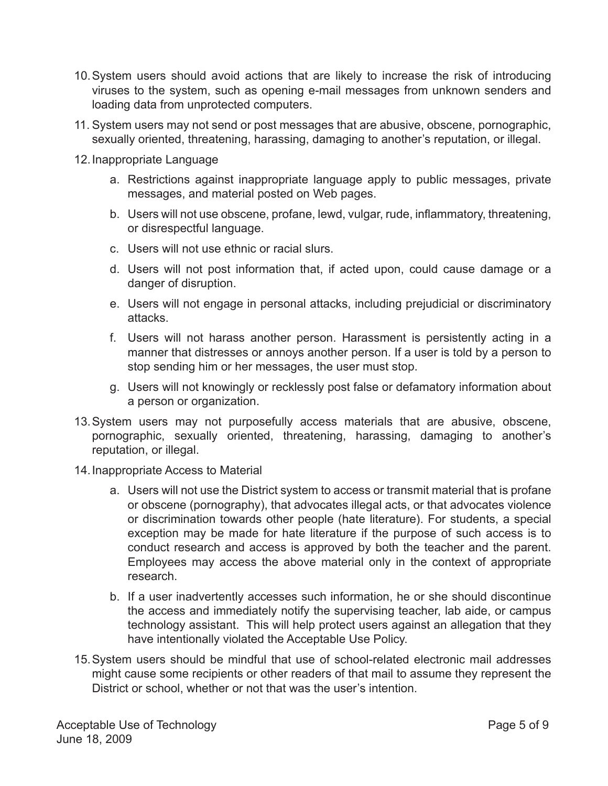- 10.System users should avoid actions that are likely to increase the risk of introducing viruses to the system, such as opening e-mail messages from unknown senders and loading data from unprotected computers.
- 11. System users may not send or post messages that are abusive, obscene, pornographic, sexually oriented, threatening, harassing, damaging to another's reputation, or illegal.
- 12.Inappropriate Language
	- a. Restrictions against inappropriate language apply to public messages, private messages, and material posted on Web pages.
	- b. Users will not use obscene, profane, lewd, vulgar, rude, inflammatory, threatening, or disrespectful language.
	- c. Users will not use ethnic or racial slurs.
	- d. Users will not post information that, if acted upon, could cause damage or a danger of disruption.
	- e. Users will not engage in personal attacks, including prejudicial or discriminatory attacks.
	- f. Users will not harass another person. Harassment is persistently acting in a manner that distresses or annoys another person. If a user is told by a person to stop sending him or her messages, the user must stop.
	- g. Users will not knowingly or recklessly post false or defamatory information about a person or organization.
- 13.System users may not purposefully access materials that are abusive, obscene, pornographic, sexually oriented, threatening, harassing, damaging to another's reputation, or illegal.
- 14.Inappropriate Access to Material
	- a. Users will not use the District system to access or transmit material that is profane or obscene (pornography), that advocates illegal acts, or that advocates violence or discrimination towards other people (hate literature). For students, a special exception may be made for hate literature if the purpose of such access is to conduct research and access is approved by both the teacher and the parent. Employees may access the above material only in the context of appropriate research.
	- b. If a user inadvertently accesses such information, he or she should discontinue the access and immediately notify the supervising teacher, lab aide, or campus technology assistant. This will help protect users against an allegation that they have intentionally violated the Acceptable Use Policy.
- 15.System users should be mindful that use of school-related electronic mail addresses might cause some recipients or other readers of that mail to assume they represent the District or school, whether or not that was the user's intention.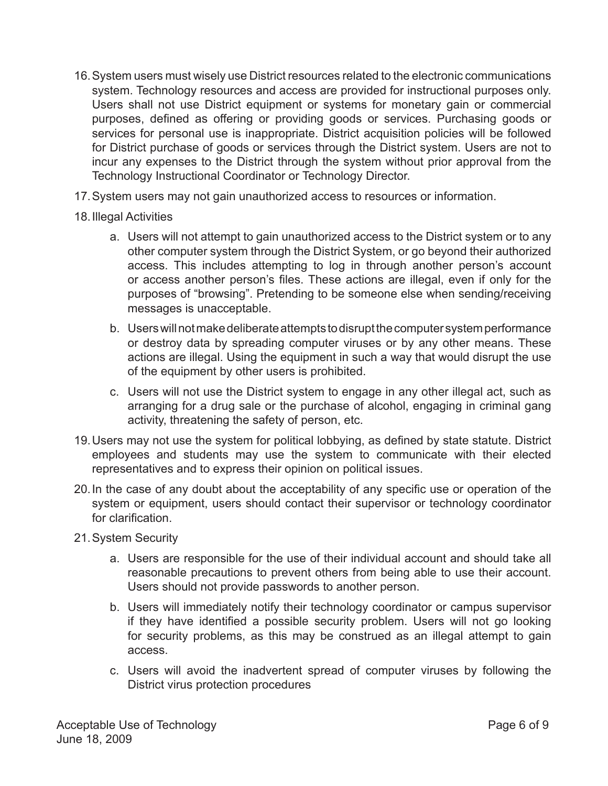- 16.System users must wisely use District resources related to the electronic communications system. Technology resources and access are provided for instructional purposes only. Users shall not use District equipment or systems for monetary gain or commercial purposes, defined as offering or providing goods or services. Purchasing goods or services for personal use is inappropriate. District acquisition policies will be followed for District purchase of goods or services through the District system. Users are not to incur any expenses to the District through the system without prior approval from the Technology Instructional Coordinator or Technology Director.
- 17.System users may not gain unauthorized access to resources or information.
- 18.Illegal Activities
	- a. Users will not attempt to gain unauthorized access to the District system or to any other computer system through the District System, or go beyond their authorized access. This includes attempting to log in through another person's account or access another person's files. These actions are illegal, even if only for the purposes of "browsing". Pretending to be someone else when sending/receiving messages is unacceptable.
	- b. Users will not make deliberate attempts to disrupt the computer system performance or destroy data by spreading computer viruses or by any other means. These actions are illegal. Using the equipment in such a way that would disrupt the use of the equipment by other users is prohibited.
	- c. Users will not use the District system to engage in any other illegal act, such as arranging for a drug sale or the purchase of alcohol, engaging in criminal gang activity, threatening the safety of person, etc.
- 19.Users may not use the system for political lobbying, as defined by state statute. District employees and students may use the system to communicate with their elected representatives and to express their opinion on political issues.
- 20.In the case of any doubt about the acceptability of any specific use or operation of the system or equipment, users should contact their supervisor or technology coordinator for clarification.
- 21.System Security
	- a. Users are responsible for the use of their individual account and should take all reasonable precautions to prevent others from being able to use their account. Users should not provide passwords to another person.
	- b. Users will immediately notify their technology coordinator or campus supervisor if they have identified a possible security problem. Users will not go looking for security problems, as this may be construed as an illegal attempt to gain access.
	- c. Users will avoid the inadvertent spread of computer viruses by following the District virus protection procedures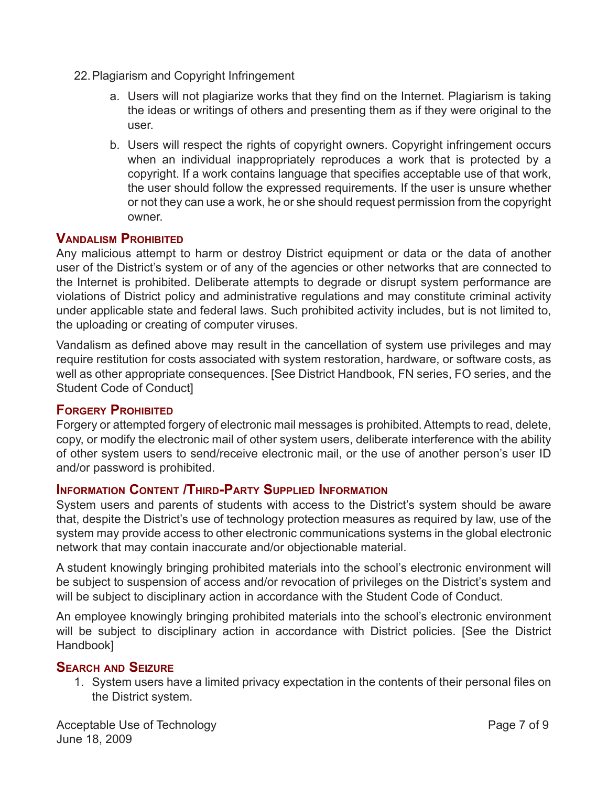- <span id="page-6-0"></span>22.Plagiarism and Copyright Infringement
	- a. Users will not plagiarize works that they find on the Internet. Plagiarism is taking the ideas or writings of others and presenting them as if they were original to the user.
	- b. Users will respect the rights of copyright owners. Copyright infringement occurs when an individual inappropriately reproduces a work that is protected by a copyright. If a work contains language that specifies acceptable use of that work, the user should follow the expressed requirements. If the user is unsure whether or not they can use a work, he or she should request permission from the copyright owner.

# **Vandalism Prohibited**

Any malicious attempt to harm or destroy District equipment or data or the data of another user of the District's system or of any of the agencies or other networks that are connected to the Internet is prohibited. Deliberate attempts to degrade or disrupt system performance are violations of District policy and administrative regulations and may constitute criminal activity under applicable state and federal laws. Such prohibited activity includes, but is not limited to, the uploading or creating of computer viruses.

Vandalism as defined above may result in the cancellation of system use privileges and may require restitution for costs associated with system restoration, hardware, or software costs, as well as other appropriate consequences. [See District Handbook, FN series, FO series, and the Student Code of Conduct]

# **Forgery Prohibited**

Forgery or attempted forgery of electronic mail messages is prohibited. Attempts to read, delete, copy, or modify the electronic mail of other system users, deliberate interference with the ability of other system users to send/receive electronic mail, or the use of another person's user ID and/or password is prohibited.

# **Information Content /Third-Party Supplied Information**

System users and parents of students with access to the District's system should be aware that, despite the District's use of technology protection measures as required by law, use of the system may provide access to other electronic communications systems in the global electronic network that may contain inaccurate and/or objectionable material.

A student knowingly bringing prohibited materials into the school's electronic environment will be subject to suspension of access and/or revocation of privileges on the District's system and will be subject to disciplinary action in accordance with the Student Code of Conduct.

An employee knowingly bringing prohibited materials into the school's electronic environment will be subject to disciplinary action in accordance with District policies. [See the District Handbook]

# **Search and Seizure**

1. System users have a limited privacy expectation in the contents of their personal files on the District system.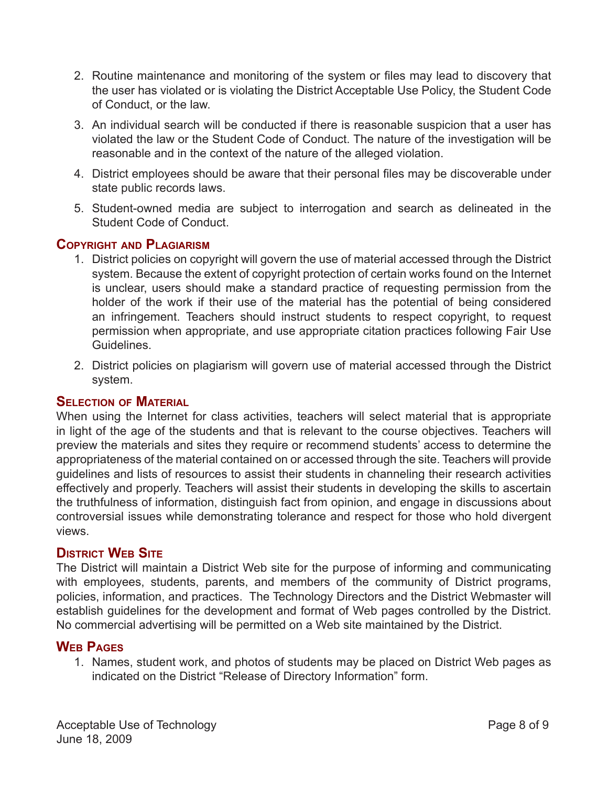- <span id="page-7-0"></span>2. Routine maintenance and monitoring of the system or files may lead to discovery that the user has violated or is violating the District Acceptable Use Policy, the Student Code of Conduct, or the law.
- 3. An individual search will be conducted if there is reasonable suspicion that a user has violated the law or the Student Code of Conduct. The nature of the investigation will be reasonable and in the context of the nature of the alleged violation.
- 4. District employees should be aware that their personal files may be discoverable under state public records laws.
- 5. Student-owned media are subject to interrogation and search as delineated in the Student Code of Conduct.

# **Copyright and Plagiarism**

- 1. District policies on copyright will govern the use of material accessed through the District system. Because the extent of copyright protection of certain works found on the Internet is unclear, users should make a standard practice of requesting permission from the holder of the work if their use of the material has the potential of being considered an infringement. Teachers should instruct students to respect copyright, to request permission when appropriate, and use appropriate citation practices following Fair Use Guidelines.
- 2. District policies on plagiarism will govern use of material accessed through the District system.

# **Selection of Material**

When using the Internet for class activities, teachers will select material that is appropriate in light of the age of the students and that is relevant to the course objectives. Teachers will preview the materials and sites they require or recommend students' access to determine the appropriateness of the material contained on or accessed through the site. Teachers will provide guidelines and lists of resources to assist their students in channeling their research activities effectively and properly. Teachers will assist their students in developing the skills to ascertain the truthfulness of information, distinguish fact from opinion, and engage in discussions about controversial issues while demonstrating tolerance and respect for those who hold divergent views.

# **District Web Site**

The District will maintain a District Web site for the purpose of informing and communicating with employees, students, parents, and members of the community of District programs, policies, information, and practices. The Technology Directors and the District Webmaster will establish guidelines for the development and format of Web pages controlled by the District. No commercial advertising will be permitted on a Web site maintained by the District.

# **Web Pages**

1. Names, student work, and photos of students may be placed on District Web pages as indicated on the District "Release of Directory Information" form.